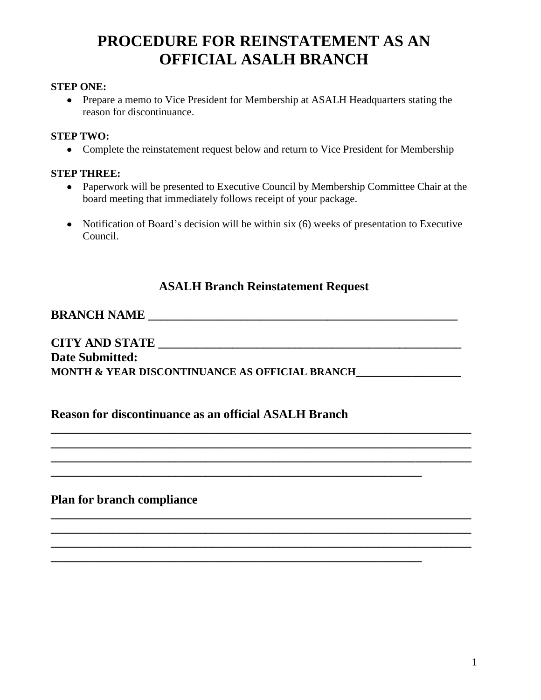## **PROCEDURE FOR REINSTATEMENT AS AN OFFICIAL ASALH BRANCH**

#### **STEP ONE:**

Prepare a memo to Vice President for Membership at ASALH Headquarters stating the reason for discontinuance.

#### **STEP TWO:**

• Complete the reinstatement request below and return to Vice President for Membership

#### **STEP THREE:**

- Paperwork will be presented to Executive Council by Membership Committee Chair at the board meeting that immediately follows receipt of your package.
- Notification of Board's decision will be within six (6) weeks of presentation to Executive Council.

## **ASALH Branch Reinstatement Request**

**\_\_\_\_\_\_\_\_\_\_\_\_\_\_\_\_\_\_\_\_\_\_\_\_\_\_\_\_\_\_\_\_\_\_\_\_\_\_\_\_\_\_\_\_\_\_\_\_\_\_\_\_\_\_\_\_\_\_\_\_\_\_\_\_\_\_\_\_ \_\_\_\_\_\_\_\_\_\_\_\_\_\_\_\_\_\_\_\_\_\_\_\_\_\_\_\_\_\_\_\_\_\_\_\_\_\_\_\_\_\_\_\_\_\_\_\_\_\_\_\_\_\_\_\_\_\_\_\_\_\_\_\_\_\_\_\_ \_\_\_\_\_\_\_\_\_\_\_\_\_\_\_\_\_\_\_\_\_\_\_\_\_\_\_\_\_\_\_\_\_\_\_\_\_\_\_\_\_\_\_\_\_\_\_\_\_\_\_\_\_\_\_\_\_\_\_\_\_\_\_\_\_\_\_\_**

**\_\_\_\_\_\_\_\_\_\_\_\_\_\_\_\_\_\_\_\_\_\_\_\_\_\_\_\_\_\_\_\_\_\_\_\_\_\_\_\_\_\_\_\_\_\_\_\_\_\_\_\_\_\_\_\_\_\_\_\_\_\_\_\_\_\_\_\_ \_\_\_\_\_\_\_\_\_\_\_\_\_\_\_\_\_\_\_\_\_\_\_\_\_\_\_\_\_\_\_\_\_\_\_\_\_\_\_\_\_\_\_\_\_\_\_\_\_\_\_\_\_\_\_\_\_\_\_\_\_\_\_\_\_\_\_\_ \_\_\_\_\_\_\_\_\_\_\_\_\_\_\_\_\_\_\_\_\_\_\_\_\_\_\_\_\_\_\_\_\_\_\_\_\_\_\_\_\_\_\_\_\_\_\_\_\_\_\_\_\_\_\_\_\_\_\_\_\_\_\_\_\_\_\_\_**

**\_\_\_\_\_\_\_\_\_\_\_\_\_\_\_\_\_\_\_\_\_\_\_\_\_\_\_\_\_\_\_\_\_\_\_\_\_\_\_\_\_\_\_\_\_\_\_\_\_\_\_\_\_\_\_\_\_\_\_\_**

**\_\_\_\_\_\_\_\_\_\_\_\_\_\_\_\_\_\_\_\_\_\_\_\_\_\_\_\_\_\_\_\_\_\_\_\_\_\_\_\_\_\_\_\_\_\_\_\_\_\_\_\_\_\_\_\_\_\_\_\_**

## **BRANCH NAME \_\_\_\_\_\_\_\_\_\_\_\_\_\_\_\_\_\_\_\_\_\_\_\_\_\_\_\_\_\_\_\_\_\_\_\_\_\_\_\_\_\_\_\_\_\_\_\_\_\_**

## **CITY AND STATE \_\_\_\_\_\_\_\_\_\_\_\_\_\_\_\_\_\_\_\_\_\_\_\_\_\_\_\_\_\_\_\_\_\_\_\_\_\_\_\_\_\_\_\_\_\_\_\_\_ Date Submitted: MONTH & YEAR DISCONTINUANCE AS OFFICIAL BRANCH\_\_\_\_\_\_\_\_\_\_\_\_\_\_\_\_\_**

### **Reason for discontinuance as an official ASALH Branch**

**Plan for branch compliance**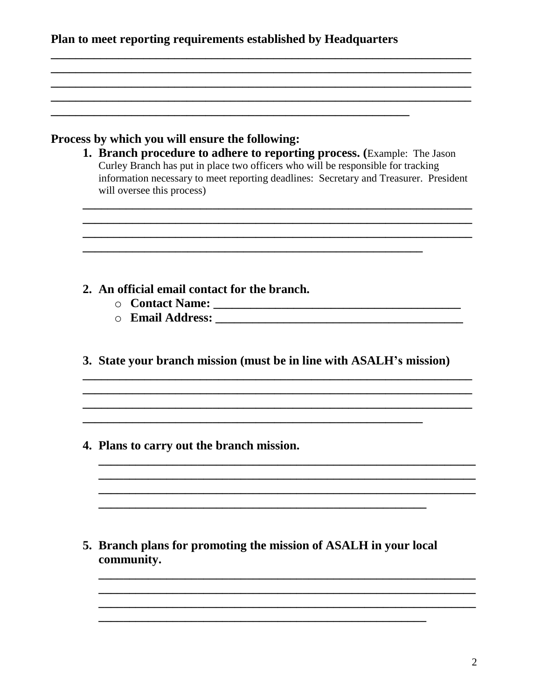|  |  | Plan to meet reporting requirements established by Headquarters |
|--|--|-----------------------------------------------------------------|
|  |  |                                                                 |

### Process by which you will ensure the following:

1. Branch procedure to adhere to reporting process. (Example: The Jason Curley Branch has put in place two officers who will be responsible for tracking information necessary to meet reporting deadlines: Secretary and Treasurer. President will oversee this process)

- 2. An official email contact for the branch.
	-
	-
- 3. State your branch mission (must be in line with ASALH's mission)

4. Plans to carry out the branch mission.

5. Branch plans for promoting the mission of ASALH in your local community.